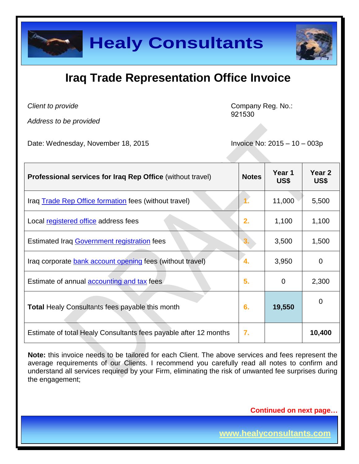

## **Iraq Trade Representation Office Invoice**

*Client to provide*

*Address to be provided*

Company Reg. No.: 921530

Date: Wednesday, November 18, 2015 **Invoice No: 2015 – 10 – 003p** 

| <b>Professional services for Iraq Rep Office (without travel)</b> | <b>Notes</b> | Year 1<br>US\$ | Year 2<br>US\$ |
|-------------------------------------------------------------------|--------------|----------------|----------------|
| Iraq <b>Trade Rep Office formation</b> fees (without travel)      |              | 11,000         | 5,500          |
| Local registered office address fees                              | 2.           | 1,100          | 1,100          |
| Estimated Iraq Government registration fees                       | 3.           | 3,500          | 1,500          |
| Iraq corporate bank account opening fees (without travel)         | 4.           | 3,950          | $\overline{0}$ |
| Estimate of annual <b>accounting and tax</b> fees                 | 5.           | $\mathbf 0$    | 2,300          |
| Total Healy Consultants fees payable this month                   | 6.           | 19,550         | 0              |
| Estimate of total Healy Consultants fees payable after 12 months  | 7.           |                | 10,400         |

**Note:** this invoice needs to be tailored for each Client. The above services and fees represent the average requirements of our Clients. I recommend you carefully read all notes to confirm and understand all services required by your Firm, eliminating the risk of unwanted fee surprises during the engagement;

**Continued on next page…**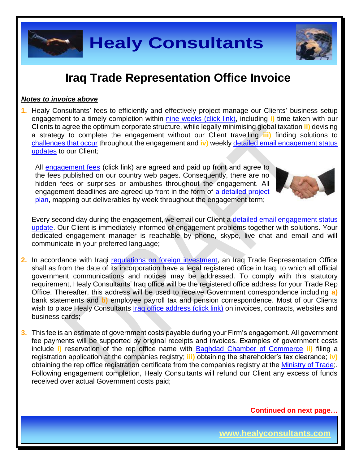

## **Iraq Trade Representation Office Invoice**

### *Notes to invoice above*

**1.** Healy Consultants' fees to efficiently and effectively project manage our Clients' business setup engagement to a timely completion within [nine weeks \(click link\),](http://www.healyconsultants.com/iraq-company-registration/fees-timelines/) including **i)** time taken with our Clients to agree the optimum corporate structure, while legally minimising global taxation **ii)** devising a strategy to complete the engagement without our Client travelling **iii)** finding solutions to [challenges that occur](http://www.healyconsultants.com/engagement-project-management/) throughout the engagement and **iv)** weekly [detailed email engagement status](http://www.healyconsultants.com/index-important-links/weekly-engagement-status-email/)  [updates](http://www.healyconsultants.com/index-important-links/weekly-engagement-status-email/) to our Client;

All [engagement fees](http://www.healyconsultants.com/company-registration-fees/) (click link) are agreed and paid up front and agree to the fees published on our country web pages. Consequently, there are no hidden fees or surprises or ambushes throughout the engagement. All engagement deadlines are agreed up front in the form of [a detailed project](http://www.healyconsultants.com/index-important-links/example-project-plan/)  [plan,](http://www.healyconsultants.com/index-important-links/example-project-plan/) mapping out deliverables by week throughout the engagement term;



Every second day during the engagement, we email our Client a [detailed email engagement status](http://www.healyconsultants.com/index-important-links/weekly-engagement-status-email/)  [update.](http://www.healyconsultants.com/index-important-links/weekly-engagement-status-email/) Our Client is immediately informed of engagement problems together with solutions. Your dedicated engagement manager is reachable by phone, skype, live chat and email and will communicate in your preferred language;

- **2.** In accordance with Iraqi [regulations on foreign investment,](http://www.iraqcoalition.org/regulations/20031220_CPAORD_39_Foreign_Investment_.pdf) an Iraq Trade Representation Office shall as from the date of its incorporation have a legal registered office in Iraq, to which all official government communications and notices may be addressed. To comply with this statutory requirement, Healy Consultants' Iraq office will be the registered office address for your Trade Rep Office. Thereafter, this address will be used to receive Government correspondence including **a)** bank statements and **b)** employee payroll tax and pension correspondence. Most of our Clients wish to place Healy Consultants Iraq [office address \(click link\)](http://www.healyconsultants.com/virtual-office/) on invoices, contracts, websites and business cards;
- **3.** This fee is an estimate of government costs payable during your Firm's engagement. All government fee payments will be supported by original receipts and invoices. Examples of government costs include **i)** reservation of the rep office name with [Baghdad Chamber of Commerce](http://www.baghdadchamber.com/) **ii)** filing a registration application at the companies registry; **iii)** obtaining the shareholder's tax clearance; **iv)** obtaining the rep office registration certificate from the companies registry at the [Ministry of Trade;](http://www.mot.gov.iq/). Following engagement completion, Healy Consultants will refund our Client any excess of funds received over actual Government costs paid;

**Continued on next page…**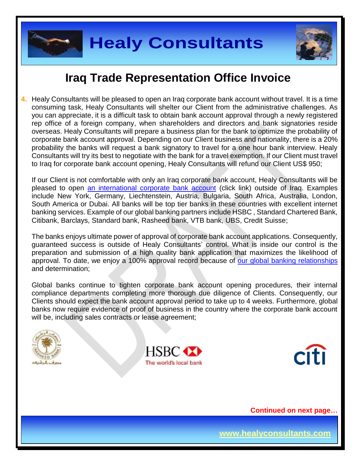

## **Iraq Trade Representation Office Invoice**

**4.** Healy Consultants will be pleased to open an Iraq corporate bank account without travel. It is a time consuming task, Healy Consultants will shelter our Client from the administrative challenges. As you can appreciate, it is a difficult task to obtain bank account approval through a newly registered rep office of a foreign company, when shareholders and directors and bank signatories reside overseas. Healy Consultants will prepare a business plan for the bank to optimize the probability of corporate bank account approval. Depending on our Client business and nationality, there is a 20% probability the banks will request a bank signatory to travel for a one hour bank interview. Healy Consultants will try its best to negotiate with the bank for a travel exemption. If our Client must travel to Iraq for corporate bank account opening, Healy Consultants will refund our Client US\$ 950;

If our Client is not comfortable with only an Iraq corporate bank account, Healy Consultants will be pleased to open [an international corporate bank account](http://www.healyconsultants.com/international-banking/) (click link) outside of Iraq. Examples include New York, Germany, Liechtenstein, Austria, Bulgaria, South Africa, Australia, London, South America or Dubai. All banks will be top tier banks in these countries with excellent internet banking services. Example of our global banking partners include HSBC , Standard Chartered Bank, Citibank, Barclays, Standard bank, Rasheed bank, VTB bank, UBS, Credit Suisse;

The banks enjoys ultimate power of approval of corporate bank account applications. Consequently, guaranteed success is outside of Healy Consultants' control. What is inside our control is the preparation and submission of a high quality bank application that maximizes the likelihood of approval. To date, we enjoy a 100% approval record because of [our global banking relationships](http://www.healyconsultants.com/international-banking/corporate-accounts/) and determination;

Global banks continue to tighten corporate bank account opening procedures, their internal compliance departments completing more thorough due diligence of Clients. Consequently, our Clients should expect the bank account approval period to take up to 4 weeks. Furthermore, global banks now require evidence of proof of business in the country where the corporate bank account will be, including sales contracts or lease agreement;







**Continued on next page…**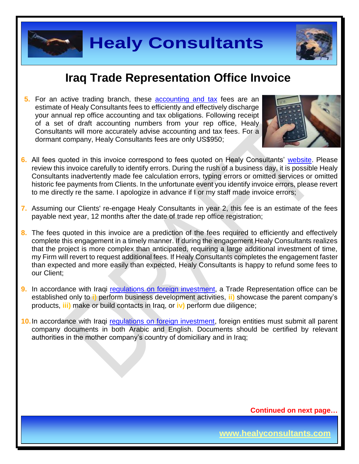



### **Iraq Trade Representation Office Invoice**

**5.** For an active trading branch, these **accounting and tax** fees are an estimate of Healy Consultants fees to efficiently and effectively discharge your annual rep office accounting and tax obligations. Following receipt of a set of draft accounting numbers from your rep office, Healy Consultants will more accurately advise accounting and tax fees. For a dormant company, Healy Consultants fees are only US\$950;



- **6.** All fees quoted in this invoice correspond to fees quoted on Healy Consultants' [website.](http://www.healyconsultants.com/company-registration-fees/) Please review this invoice carefully to identify errors. During the rush of a business day, it is possible Healy Consultants inadvertently made fee calculation errors, typing errors or omitted services or omitted historic fee payments from Clients. In the unfortunate event you identify invoice errors, please revert to me directly re the same. I apologize in advance if I or my staff made invoice errors;
- **7.** Assuming our Clients' re-engage Healy Consultants in year 2, this fee is an estimate of the fees payable next year, 12 months after the date of trade rep office registration;
- **8.** The fees quoted in this invoice are a prediction of the fees required to efficiently and effectively complete this engagement in a timely manner. If during the engagement Healy Consultants realizes that the project is more complex than anticipated, requiring a large additional investment of time, my Firm will revert to request additional fees. If Healy Consultants completes the engagement faster than expected and more easily than expected, Healy Consultants is happy to refund some fees to our Client;
- **9.** In accordance with Iraqi [regulations on foreign investment,](http://www.iraqcoalition.org/regulations/20031220_CPAORD_39_Foreign_Investment_.pdf) a Trade Representation office can be established only to **i)** perform business development activities, **ii)** showcase the parent company's products, **iii)** make or build contacts in Iraq, or **iv)** perform due diligence;
- **10.**In accordance with Iraqi [regulations on foreign investment,](http://www.iraqcoalition.org/regulations/20031220_CPAORD_39_Foreign_Investment_.pdf) foreign entities must submit all parent company documents in both Arabic and English. Documents should be certified by relevant authorities in the mother company's country of domiciliary and in Iraq;

**Continued on next page…**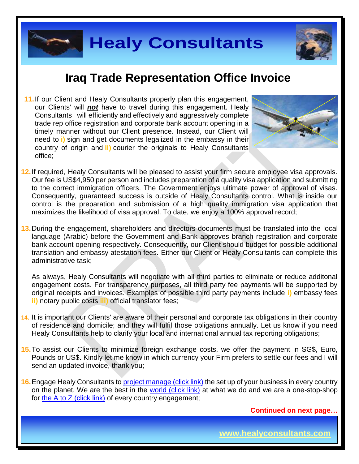

### **Iraq Trade Representation Office Invoice**

**11.**If our Client and Healy Consultants properly plan this engagement, our Clients' will *not* have to travel during this engagement. Healy Consultants will efficiently and effectively and aggressively complete trade rep office registration and corporate bank account opening in a timely manner without our Client presence. Instead, our Client will need to **i)** sign and get documents legalized in the embassy in their country of origin and **ii)** courier the originals to Healy Consultants office;



- **12.**If required, Healy Consultants will be pleased to assist your firm secure employee visa approvals. Our fee is US\$4,950 per person and includes preparation of a quality visa application and submitting to the correct immigration officers. The Government enjoys ultimate power of approval of visas. Consequently, guaranteed success is outside of Healy Consultants control. What is inside our control is the preparation and submission of a high quality immigration visa application that maximizes the likelihood of visa approval. To date, we enjoy a 100% approval record;
- **13.**During the engagement, shareholders and directors documents must be translated into the local language (Arabic) before the Government and Bank approves branch registration and corporate bank account opening respectively. Consequently, our Client should budget for possible additional translation and embassy atestation fees. Either our Client or Healy Consultants can complete this administrative task;

As always, Healy Consultants will negotiate with all third parties to eliminate or reduce additonal engagement costs. For transparency purposes, all third party fee payments will be supported by original receipts and invoices. Examples of possible third party payments include **i)** embassy fees **ii)** notary public costs **iii)** official translator fees;

- **14.** It is important our Clients' are aware of their personal and corporate tax obligations in their country of residence and domicile; and they will fulfil those obligations annually. Let us know if you need Healy Consultants help to clarify your local and international annual tax reporting obligations;
- **15.**To assist our Clients to minimize foreign exchange costs, we offer the payment in SG\$, Euro, Pounds or US\$. Kindly let me know in which currency your Firm prefers to settle our fees and I will send an updated invoice, thank you;
- **16.** Engage Healy Consultants to [project manage \(click link\)](http://www.healyconsultants.com/project-manage-engagements/) the set up of your business in every country on the planet. We are the best in the [world \(click link\)](http://www.healyconsultants.com/best-in-the-world/) at what we do and we are a one-stop-shop for [the A to Z \(click link\)](http://www.healyconsultants.com/a-to-z-of-business-set-up/) of every country engagement;

**Continued on next page…**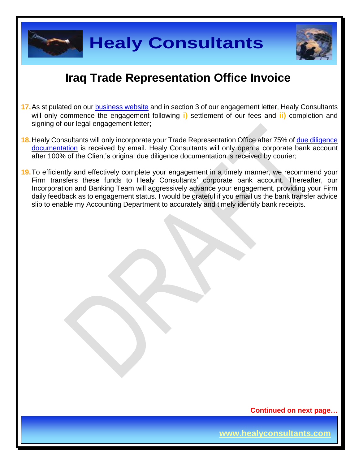

## **Iraq Trade Representation Office Invoice**

- **17.**As stipulated on our [business website](http://www.healyconsultants.com/) and in section 3 of our engagement letter, Healy Consultants will only commence the engagement following **i)** settlement of our fees and **ii)** completion and signing of our legal engagement letter;
- **18.**Healy Consultants will only incorporate your Trade Representation Office after 75% of [due diligence](http://www.healyconsultants.com/due-diligence/)  [documentation](http://www.healyconsultants.com/due-diligence/) is received by email. Healy Consultants will only open a corporate bank account after 100% of the Client's original due diligence documentation is received by courier;
- **19.**To efficiently and effectively complete your engagement in a timely manner, we recommend your Firm transfers these funds to Healy Consultants' corporate bank account. Thereafter, our Incorporation and Banking Team will aggressively advance your engagement, providing your Firm daily feedback as to engagement status. I would be grateful if you email us the bank transfer advice slip to enable my Accounting Department to accurately and timely identify bank receipts.

**Continued on next page…**